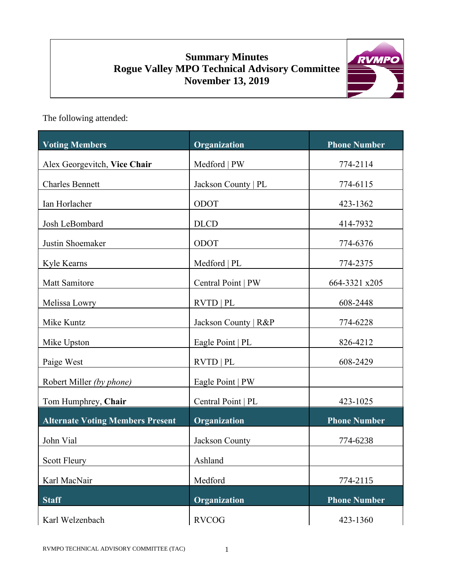# **Summary Minutes Rogue Valley MPO Technical Advisory Committee November 13, 2019**



The following attended:

| <b>Voting Members</b>                   | Organization         | <b>Phone Number</b> |
|-----------------------------------------|----------------------|---------------------|
| Alex Georgevitch, Vice Chair            | Medford   PW         | 774-2114            |
| <b>Charles Bennett</b>                  | Jackson County   PL  | 774-6115            |
| Ian Horlacher                           | ODOT                 | 423-1362            |
| Josh LeBombard                          | <b>DLCD</b>          | 414-7932            |
| Justin Shoemaker                        | ODOT                 | 774-6376            |
| Kyle Kearns                             | Medford   PL         | 774-2375            |
| Matt Samitore                           | Central Point   PW   | 664-3321 x205       |
| Melissa Lowry                           | <b>RVTD   PL</b>     | 608-2448            |
| Mike Kuntz                              | Jackson County   R&P | 774-6228            |
| Mike Upston                             | Eagle Point   PL     | 826-4212            |
| Paige West                              | RVTD   PL            | 608-2429            |
| Robert Miller (by phone)                | Eagle Point   PW     |                     |
| Tom Humphrey, Chair                     | Central Point   PL   | 423-1025            |
| <b>Alternate Voting Members Present</b> | Organization         | <b>Phone Number</b> |
| John Vial                               | Jackson County       | 774-6238            |
| <b>Scott Fleury</b>                     | Ashland              |                     |
| Karl MacNair                            | Medford              | 774-2115            |
| <b>Staff</b>                            | <b>Organization</b>  | <b>Phone Number</b> |
| Karl Welzenbach                         | <b>RVCOG</b>         | 423-1360            |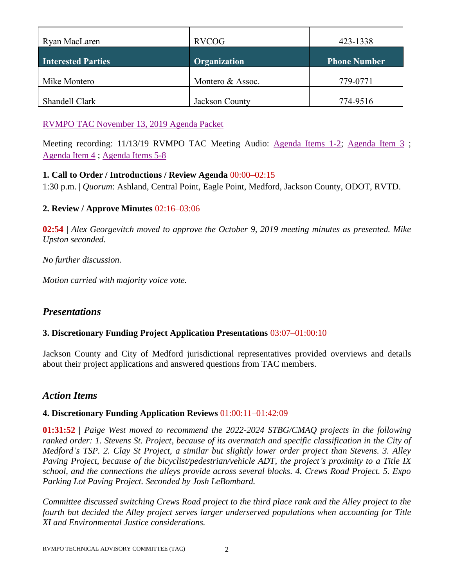| Ryan MacLaren             | <b>RVCOG</b>     | 423-1338            |
|---------------------------|------------------|---------------------|
| <b>Interested Parties</b> | Organization     | <b>Phone Number</b> |
| Mike Montero              | Montero & Assoc. | 779-0771            |
| Shandell Clark            | Jackson County   | 774-9516            |

[RVMPO TAC November 13, 2019](http://dvel.rvmpo.org/wp-content/uploads/2019/09/2019-11-13_RVMPO-TAC-Agenda.pdf) Agenda Packet

Meeting recording: 11/13/19 RVMPO TAC Meeting Audio: [Agenda Items 1-2;](http://dvel.rvmpo.org/wp-content/uploads/2019/09/11132019_RVMPO-TAC_Meeting-Audio-Agenda-Items-1-2.mp3) [Agenda Item 3](http://rvmpo.org/wp-content/uploads/2019/09/11132019_RVMPO-TAC_Meeting-Audio-Agenda-Item-3.mp3); [Agenda Item 4](http://rvmpo.org/wp-content/uploads/2019/09/11132019_RVMPO-TAC_Action4.mp3) ; [Agenda Items 5-8](http://rvmpo.org/wp-content/uploads/2019/09/11132019_RVMPO-TAC_5-8.mp3)

## **1. Call to Order / Introductions / Review Agenda** 00:00–02:15

1:30 p.m. | *Quorum*: Ashland, Central Point, Eagle Point, Medford, Jackson County, ODOT, RVTD.

## **2. Review / Approve Minutes** 02:16–03:06

**02:54 |** *Alex Georgevitch moved to approve the October 9, 2019 meeting minutes as presented. Mike Upston seconded.* 

*No further discussion.*

*Motion carried with majority voice vote.* 

# *Presentations*

## **3. Discretionary Funding Project Application Presentations** 03:07–01:00:10

Jackson County and City of Medford jurisdictional representatives provided overviews and details about their project applications and answered questions from TAC members.

## *Action Items*

#### **4. Discretionary Funding Application Reviews** 01:00:11–01:42:09

**01:31:52 |** *Paige West moved to recommend the 2022-2024 STBG/CMAQ projects in the following ranked order: 1. Stevens St. Project, because of its overmatch and specific classification in the City of Medford's TSP. 2. Clay St Project, a similar but slightly lower order project than Stevens. 3. Alley Paving Project, because of the bicyclist/pedestrian/vehicle ADT, the project's proximity to a Title IX school, and the connections the alleys provide across several blocks. 4. Crews Road Project. 5. Expo Parking Lot Paving Project. Seconded by Josh LeBombard.* 

*Committee discussed switching Crews Road project to the third place rank and the Alley project to the fourth but decided the Alley project serves larger underserved populations when accounting for Title XI and Environmental Justice considerations.*